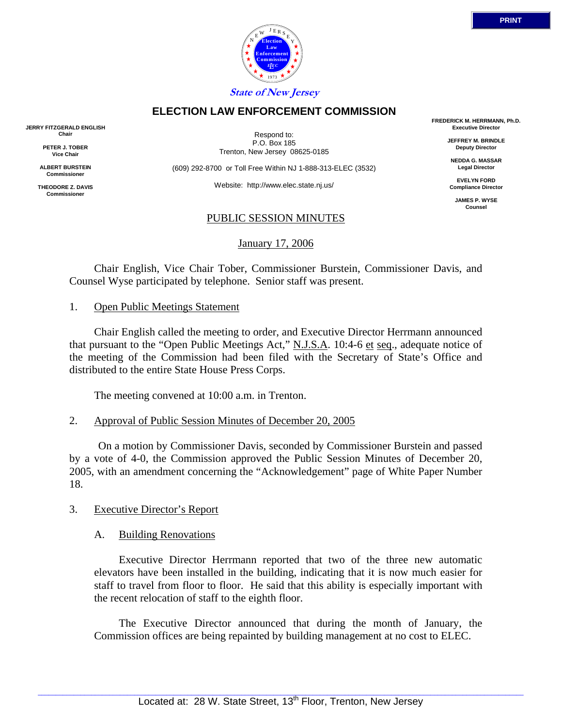

Y E

## **ELECTION LAW ENFORCEMENT COMMISSION**

**State of New Jersey**

**Election Law Enforcement Commission** *L E EC*

 $N \frac{E}{E}$  E R S

**JERRY FITZGERALD ENGLISH Chair**

> **PETER J. TOBER Vice Chair**

**ALBERT BURSTEIN Commissioner** 

**THEODORE Z. DAVIS Commissione** 

Respond to: P.O. Box 185 Trenton, New Jersey 08625-0185

(609) 292-8700 or Toll Free Within NJ 1-888-313-ELEC (3532)

Website: http://www.elec.state.nj.us/

## PUBLIC SESSION MINUTES

January 17, 2006

 Chair English, Vice Chair Tober, Commissioner Burstein, Commissioner Davis, and Counsel Wyse participated by telephone. Senior staff was present.

#### 1. Open Public Meetings Statement

 Chair English called the meeting to order, and Executive Director Herrmann announced that pursuant to the "Open Public Meetings Act," N.J.S.A. 10:4-6 et seq., adequate notice of the meeting of the Commission had been filed with the Secretary of State's Office and distributed to the entire State House Press Corps.

The meeting convened at 10:00 a.m. in Trenton.

2. Approval of Public Session Minutes of December 20, 2005

 On a motion by Commissioner Davis, seconded by Commissioner Burstein and passed by a vote of 4-0, the Commission approved the Public Session Minutes of December 20, 2005, with an amendment concerning the "Acknowledgement" page of White Paper Number 18.

# 3. Executive Director's Report

# A. Building Renovations

 Executive Director Herrmann reported that two of the three new automatic elevators have been installed in the building, indicating that it is now much easier for staff to travel from floor to floor. He said that this ability is especially important with the recent relocation of staff to the eighth floor.

 The Executive Director announced that during the month of January, the Commission offices are being repainted by building management at no cost to ELEC.

**FREDERICK M. HERRMANN, Ph.D. Executive Director**

> **JEFFREY M. BRINDLE Deputy Director**

**NEDDA G. MASSAR Legal Director**

**EVELYN FORD Compliance Director**

> **JAMES P. WYSE Counsel**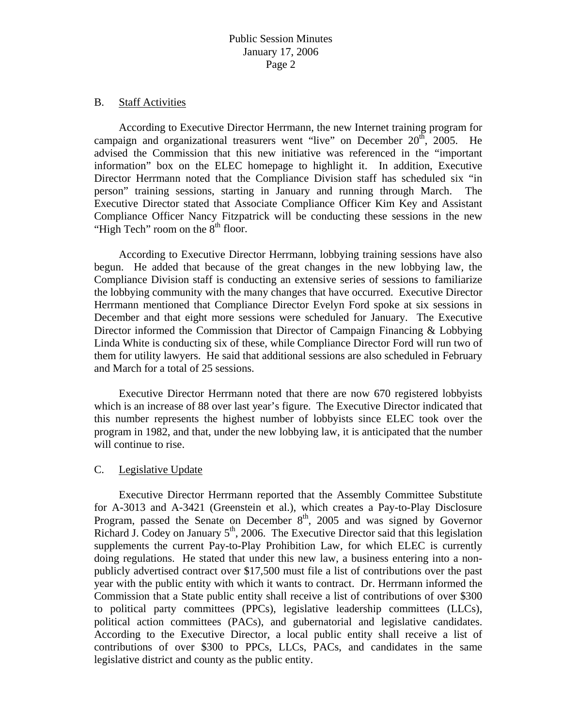#### B. Staff Activities

 According to Executive Director Herrmann, the new Internet training program for campaign and organizational treasurers went "live" on December  $20<sup>th</sup>$ ,  $2005$ . He advised the Commission that this new initiative was referenced in the "important information" box on the ELEC homepage to highlight it. In addition, Executive Director Herrmann noted that the Compliance Division staff has scheduled six "in person" training sessions, starting in January and running through March. The Executive Director stated that Associate Compliance Officer Kim Key and Assistant Compliance Officer Nancy Fitzpatrick will be conducting these sessions in the new "High Tech" room on the  $8<sup>th</sup>$  floor.

 According to Executive Director Herrmann, lobbying training sessions have also begun. He added that because of the great changes in the new lobbying law, the Compliance Division staff is conducting an extensive series of sessions to familiarize the lobbying community with the many changes that have occurred. Executive Director Herrmann mentioned that Compliance Director Evelyn Ford spoke at six sessions in December and that eight more sessions were scheduled for January. The Executive Director informed the Commission that Director of Campaign Financing & Lobbying Linda White is conducting six of these, while Compliance Director Ford will run two of them for utility lawyers. He said that additional sessions are also scheduled in February and March for a total of 25 sessions.

 Executive Director Herrmann noted that there are now 670 registered lobbyists which is an increase of 88 over last year's figure. The Executive Director indicated that this number represents the highest number of lobbyists since ELEC took over the program in 1982, and that, under the new lobbying law, it is anticipated that the number will continue to rise.

#### C. Legislative Update

 Executive Director Herrmann reported that the Assembly Committee Substitute for A-3013 and A-3421 (Greenstein et al.), which creates a Pay-to-Play Disclosure Program, passed the Senate on December  $8<sup>th</sup>$ , 2005 and was signed by Governor Richard J. Codey on January  $5<sup>th</sup>$ , 2006. The Executive Director said that this legislation supplements the current Pay-to-Play Prohibition Law, for which ELEC is currently doing regulations. He stated that under this new law, a business entering into a nonpublicly advertised contract over \$17,500 must file a list of contributions over the past year with the public entity with which it wants to contract. Dr. Herrmann informed the Commission that a State public entity shall receive a list of contributions of over \$300 to political party committees (PPCs), legislative leadership committees (LLCs), political action committees (PACs), and gubernatorial and legislative candidates. According to the Executive Director, a local public entity shall receive a list of contributions of over \$300 to PPCs, LLCs, PACs, and candidates in the same legislative district and county as the public entity.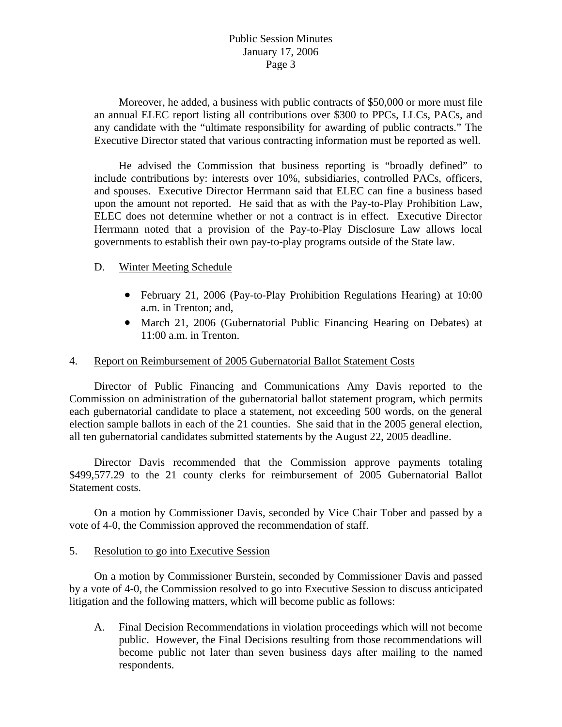# Public Session Minutes January 17, 2006 Page 3

 Moreover, he added, a business with public contracts of \$50,000 or more must file an annual ELEC report listing all contributions over \$300 to PPCs, LLCs, PACs, and any candidate with the "ultimate responsibility for awarding of public contracts." The Executive Director stated that various contracting information must be reported as well.

 He advised the Commission that business reporting is "broadly defined" to include contributions by: interests over 10%, subsidiaries, controlled PACs, officers, and spouses. Executive Director Herrmann said that ELEC can fine a business based upon the amount not reported. He said that as with the Pay-to-Play Prohibition Law, ELEC does not determine whether or not a contract is in effect. Executive Director Herrmann noted that a provision of the Pay-to-Play Disclosure Law allows local governments to establish their own pay-to-play programs outside of the State law.

# D. Winter Meeting Schedule

- February 21, 2006 (Pay-to-Play Prohibition Regulations Hearing) at 10:00 a.m. in Trenton; and,
- March 21, 2006 (Gubernatorial Public Financing Hearing on Debates) at 11:00 a.m. in Trenton.

## 4. Report on Reimbursement of 2005 Gubernatorial Ballot Statement Costs

 Director of Public Financing and Communications Amy Davis reported to the Commission on administration of the gubernatorial ballot statement program, which permits each gubernatorial candidate to place a statement, not exceeding 500 words, on the general election sample ballots in each of the 21 counties. She said that in the 2005 general election, all ten gubernatorial candidates submitted statements by the August 22, 2005 deadline.

 Director Davis recommended that the Commission approve payments totaling \$499,577.29 to the 21 county clerks for reimbursement of 2005 Gubernatorial Ballot Statement costs.

 On a motion by Commissioner Davis, seconded by Vice Chair Tober and passed by a vote of 4-0, the Commission approved the recommendation of staff.

#### 5. Resolution to go into Executive Session

 On a motion by Commissioner Burstein, seconded by Commissioner Davis and passed by a vote of 4-0, the Commission resolved to go into Executive Session to discuss anticipated litigation and the following matters, which will become public as follows:

A. Final Decision Recommendations in violation proceedings which will not become public. However, the Final Decisions resulting from those recommendations will become public not later than seven business days after mailing to the named respondents.